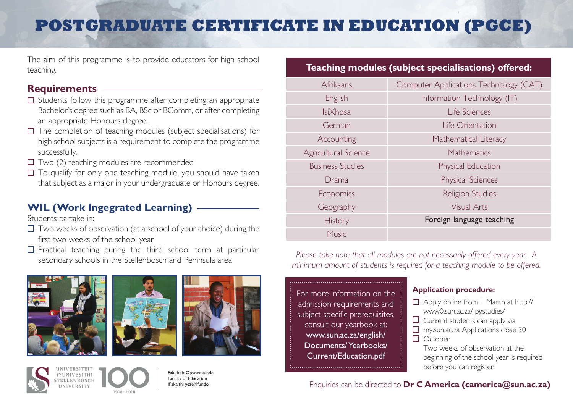# **POSTGRADUATE CERTIFICATE IN EDUCATION (PGCE)**

The aim of this programme is to provide educators for high school teaching.

### **Requirements**

- $\Box$  Students follow this programme after completing an appropriate Bachelor's degree such as BA, BSc or BComm, or after completing an appropriate Honours degree.
- $\Box$  The completion of teaching modules (subject specialisations) for high school subjects is a requirement to complete the programme successfully.
- $\Box$  Two (2) teaching modules are recommended
- $\Box$  To qualify for only one teaching module, you should have taken that subject as a major in your undergraduate or Honours degree.

## **WIL (Work Ingegrated Learning)**

Students partake in:

- $\Box$  Two weeks of observation (at a school of your choice) during the first two weeks of the school year
- $\square$  Practical teaching during the third school term at particular









Fakulteit Opvoedkunde Faculty of Education IFakalthi yezeMfundo

### **Teaching modules (subject specialisations) offered:**

| Afrikaans               | Computer Applications Technology (CAT) |
|-------------------------|----------------------------------------|
| English                 | Information Technology (IT)            |
| <b>IsiXhosa</b>         | Life Sciences                          |
| German                  | Life Orientation                       |
| Accounting              | Mathematical Literacy                  |
| Agricultural Science    | Mathematics                            |
| <b>Business Studies</b> | Physical Education                     |
| Drama                   | <b>Physical Sciences</b>               |
| Economics               | Religion Studies                       |
| Geography               | <b>Visual Arts</b>                     |
| <b>History</b>          | Foreign language teaching              |
| Music                   |                                        |

secondary schools in the Stellenbosch and Peninsula area *Please take note that all modules are not necessarily offered every year. A minimum amount of students is required for a teaching module to be offered.*

> For more information on the admission requirements and subject specific prerequisites, consult our yearbook at: www.sun.ac.za/english/ Documents/ Yearbooks/ Current/Education.pdf

### **Application procedure:**

- Apply online from 1 March at http:// www0.sun.ac.za/ pgstudies/
- $\Box$  Current students can apply via
- **T** my.sun.ac.za Applications close 30
- $\Box$  October

Two weeks of observation at the beginning of the school year is required before you can register.

### Enquiries can be directed to **Dr C America (camerica@sun.ac.za)**